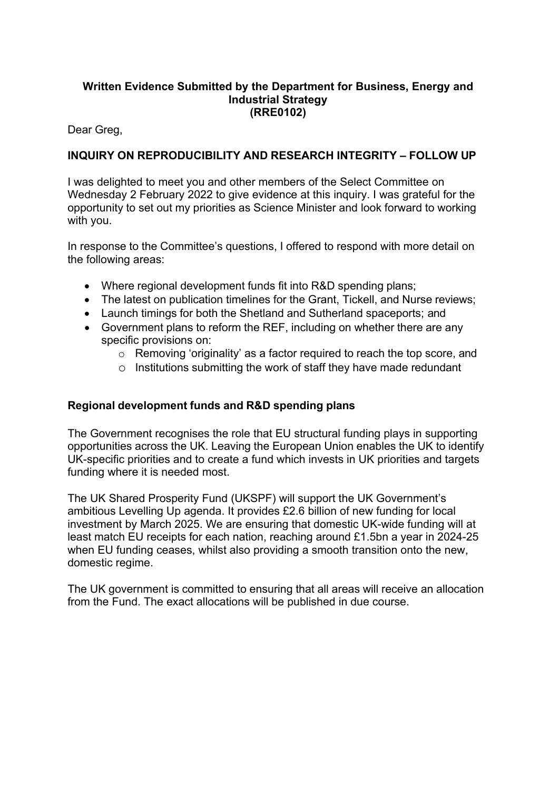### **Written Evidence Submitted by the Department for Business, Energy and Industrial Strategy (RRE0102)**

Dear Greg,

# **INQUIRY ON REPRODUCIBILITY AND RESEARCH INTEGRITY – FOLLOW UP**

I was delighted to meet you and other members of the Select Committee on Wednesday 2 February 2022 to give evidence at this inquiry. I was grateful for the opportunity to set out my priorities as Science Minister and look forward to working with you.

In response to the Committee's questions, I offered to respond with more detail on the following areas:

- Where regional development funds fit into R&D spending plans:
- The latest on publication timelines for the Grant, Tickell, and Nurse reviews;
- Launch timings for both the Shetland and Sutherland spaceports; and
- Government plans to reform the REF, including on whether there are any specific provisions on:
	- o Removing 'originality' as a factor required to reach the top score, and
	- $\circ$  Institutions submitting the work of staff they have made redundant

## **Regional development funds and R&D spending plans**

The Government recognises the role that EU structural funding plays in supporting opportunities across the UK. Leaving the European Union enables the UK to identify UK-specific priorities and to create a fund which invests in UK priorities and targets funding where it is needed most.

The UK Shared Prosperity Fund (UKSPF) will support the UK Government's ambitious Levelling Up agenda. It provides £2.6 billion of new funding for local investment by March 2025. We are ensuring that domestic UK-wide funding will at least match EU receipts for each nation, reaching around £1.5bn a year in 2024-25 when EU funding ceases, whilst also providing a smooth transition onto the new. domestic regime.

The UK government is committed to ensuring that all areas will receive an allocation from the Fund. The exact allocations will be published in due course.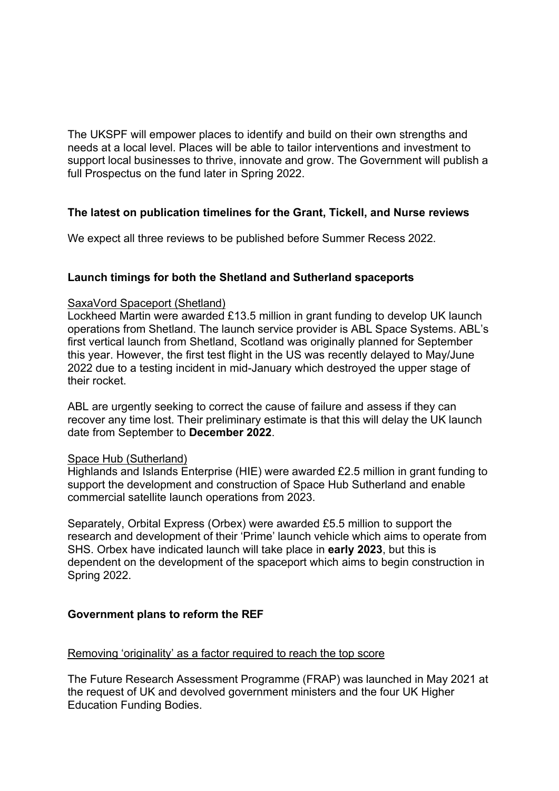The UKSPF will empower places to identify and build on their own strengths and needs at a local level. Places will be able to tailor interventions and investment to support local businesses to thrive, innovate and grow. The Government will publish a full Prospectus on the fund later in Spring 2022.

## **The latest on publication timelines for the Grant, Tickell, and Nurse reviews**

We expect all three reviews to be published before Summer Recess 2022.

## **Launch timings for both the Shetland and Sutherland spaceports**

#### SaxaVord Spaceport (Shetland)

Lockheed Martin were awarded £13.5 million in grant funding to develop UK launch operations from Shetland. The launch service provider is ABL Space Systems. ABL's first vertical launch from Shetland, Scotland was originally planned for September this year. However, the first test flight in the US was recently delayed to May/June 2022 due to a testing incident in mid-January which destroyed the upper stage of their rocket.

ABL are urgently seeking to correct the cause of failure and assess if they can recover any time lost. Their preliminary estimate is that this will delay the UK launch date from September to **December 2022**.

#### Space Hub (Sutherland)

Highlands and Islands Enterprise (HIE) were awarded £2.5 million in grant funding to support the development and construction of Space Hub Sutherland and enable commercial satellite launch operations from 2023.

Separately, Orbital Express (Orbex) were awarded £5.5 million to support the research and development of their 'Prime' launch vehicle which aims to operate from SHS. Orbex have indicated launch will take place in **early 2023**, but this is dependent on the development of the spaceport which aims to begin construction in Spring 2022.

#### **Government plans to reform the REF**

#### Removing 'originality' as a factor required to reach the top score

The Future Research Assessment Programme (FRAP) was launched in May 2021 at the request of UK and devolved government ministers and the four UK Higher Education Funding Bodies.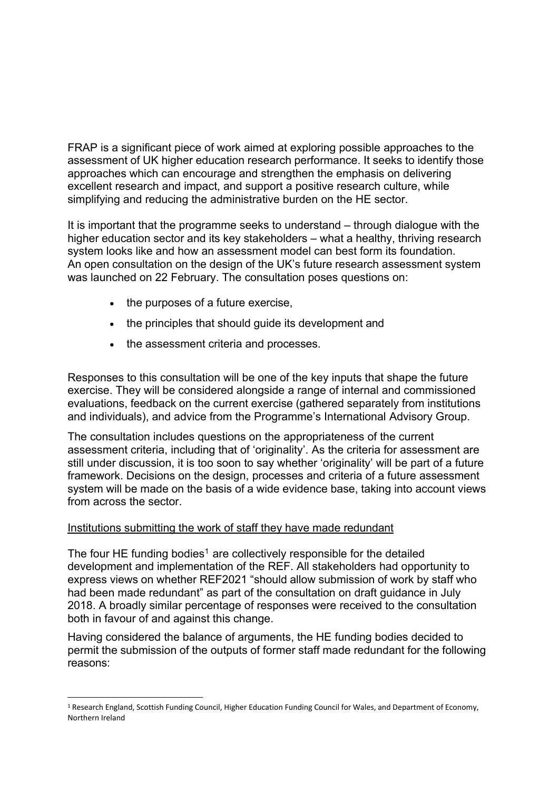FRAP is a significant piece of work aimed at exploring possible approaches to the assessment of UK higher education research performance. It seeks to identify those approaches which can encourage and strengthen the emphasis on delivering excellent research and impact, and support a positive research culture, while simplifying and reducing the administrative burden on the HE sector.

It is important that the programme seeks to understand – through dialogue with the higher education sector and its key stakeholders – what a healthy, thriving research system looks like and how an assessment model can best form its foundation. An open consultation on the design of the UK's future research assessment system was launched on 22 February. The consultation poses questions on:

- the purposes of a future exercise,
- the principles that should quide its development and
- the assessment criteria and processes.

Responses to this consultation will be one of the key inputs that shape the future exercise. They will be considered alongside a range of internal and commissioned evaluations, feedback on the current exercise (gathered separately from institutions and individuals), and advice from the Programme's International Advisory Group.

The consultation includes questions on the appropriateness of the current assessment criteria, including that of 'originality'. As the criteria for assessment are still under discussion, it is too soon to say whether 'originality' will be part of a future framework. Decisions on the design, processes and criteria of a future assessment system will be made on the basis of a wide evidence base, taking into account views from across the sector.

## Institutions submitting the work of staff they have made redundant

The four HE funding bodies<sup>1</sup> are collectively responsible for the detailed development and implementation of the REF. All stakeholders had opportunity to express views on whether REF2021 "should allow submission of work by staff who had been made redundant" as part of the consultation on draft guidance in July 2018. A broadly similar percentage of responses were received to the consultation both in favour of and against this change.

Having considered the balance of arguments, the HE funding bodies decided to permit the submission of the outputs of former staff made redundant for the following reasons:

<sup>1</sup> Research England, Scottish Funding Council, Higher Education Funding Council for Wales, and Department of Economy, Northern Ireland